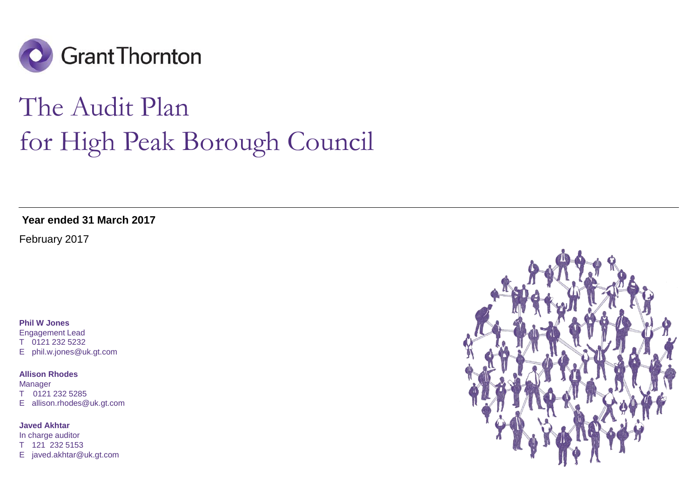

# The Audit Plan for High Peak Borough Council

**Year ended 31 March 2017**

February 2017

#### **Phil W Jones**

Engagement Lead T 0121 232 5232 E phil.w.jones@uk.gt.com

#### **Allison Rhodes**

Manager T 0121 232 5285 E allison.rhodes@uk.gt.com

#### **Javed Akhtar**

In charge auditor T 121 232 5153 E javed.akhtar@uk.gt.com

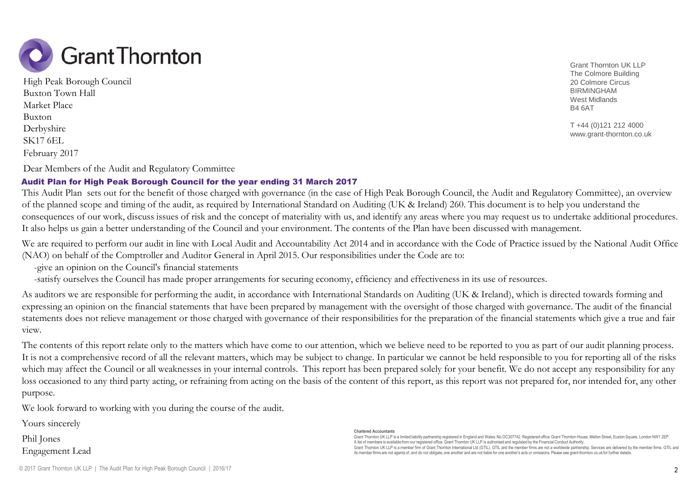

February 2017 High Peak Borough Council Buxton Town Hall Market Place Buxton Derbyshire SK17 6EL

Dear Members of the Audit and Regulatory Committee

### Audit Plan for High Peak Borough Council for the year ending 31 March 2017

This Audit Plan sets out for the benefit of those charged with governance (in the case of High Peak Borough Council, the Audit and Regulatory Committee), an overview of the planned scope and timing of the audit, as required by International Standard on Auditing (UK & Ireland) 260. This document is to help you understand the consequences of our work, discuss issues of risk and the concept of materiality with us, and identify any areas where you may request us to undertake additional procedures. It also helps us gain a better understanding of the Council and your environment. The contents of the Plan have been discussed with management.

We are required to perform our audit in line with Local Audit and Accountability Act 2014 and in accordance with the Code of Practice issued by the National Audit Office (NAO) on behalf of the Comptroller and Auditor General in April 2015. Our responsibilities under the Code are to:

-give an opinion on the Council's financial statements

-satisfy ourselves the Council has made proper arrangements for securing economy, efficiency and effectiveness in its use of resources.

As auditors we are responsible for performing the audit, in accordance with International Standards on Auditing (UK & Ireland), which is directed towards forming and expressing an opinion on the financial statements that have been prepared by management with the oversight of those charged with governance. The audit of the financial statements does not relieve management or those charged with governance of their responsibilities for the preparation of the financial statements which give a true and fair view.

The contents of this report relate only to the matters which have come to our attention, which we believe need to be reported to you as part of our audit planning process. It is not a comprehensive record of all the relevant matters, which may be subject to change. In particular we cannot be held responsible to you for reporting all of the risks which may affect the Council or all weaknesses in your internal controls. This report has been prepared solely for your benefit. We do not accept any responsibility for any loss occasioned to any third party acting, or refraining from acting on the basis of the content of this report, as this report was not prepared for, nor intended for, any other purpose.

We look forward to working with you during the course of the audit.

Yours sincerely

Phil Jones Engagement Lead

#### **Chartered Accountants**

Grant Thomton UK LLP is a limited liability partnership registered in England and Wales: No.OC307742. Registered office: Grant Thomton House, Melton Street, Euston Square, London NW1 2EP. A list of members is available from our registered office. Grant Thornton UK LLP is authorised and regulated by the Financial Conduct Authority. Grant Thornton UK LLP is a member firm of Grant Thornton International Ltd (GTIL). GTIL and the member firms are not a worldwide partnership. Services are delivered by the member firms. GTIL and its member firms are not agents of, and do not obligate, one another and are not liable for one another's acts or omissions.Please see grant-thornton.co.uk for further details.

Grant Thornton UK LLP The Colmore Building 20 Colmore Circus BIRMINGHAM West Midlands B4 6AT

T +44 (0)121 212 4000 www.grant-thornton.co.uk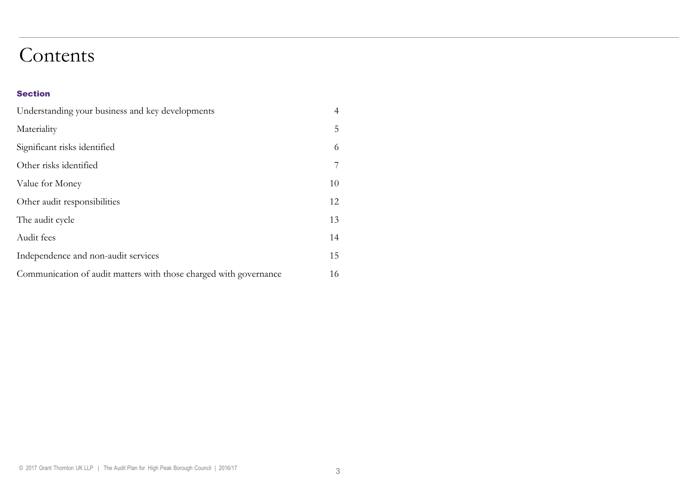### Contents

#### Section

| Understanding your business and key developments                  | $\overline{4}$ |
|-------------------------------------------------------------------|----------------|
| Materiality                                                       | 5              |
| Significant risks identified                                      | 6              |
| Other risks identified                                            | 7              |
| Value for Money                                                   | 10             |
| Other audit responsibilities                                      | 12             |
| The audit cycle                                                   | 13             |
| Audit fees                                                        | 14             |
| Independence and non-audit services                               | 15             |
| Communication of audit matters with those charged with governance | 16             |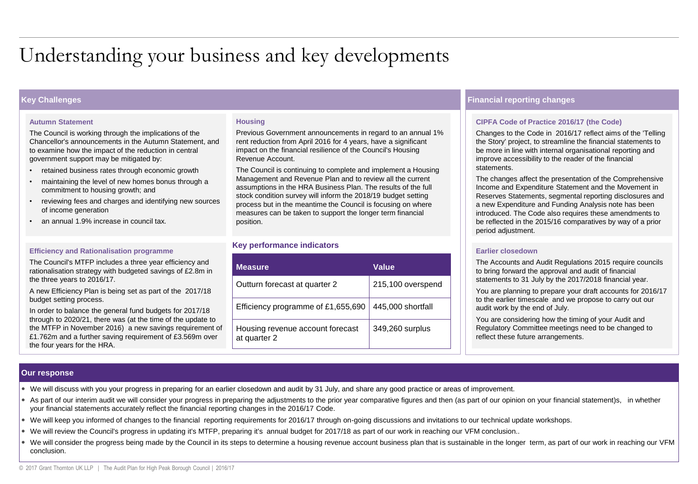### Understanding your business and key developments

#### **Autumn Statement**

The Council is working through the implications of the Chancellor's announcements in the Autumn Statement, and to examine how the impact of the reduction in central government support may be mitigated by:

- retained business rates through economic growth
- maintaining the level of new homes bonus through a commitment to housing growth; and
- reviewing fees and charges and identifying new sources of income generation
- an annual 1.9% increase in council tax.

#### **Efficiency and Rationalisation programme**

The Council's MTFP includes a three year efficiency and rationalisation strategy with budgeted savings of £2.8m in the three years to 2016/17.

A new Efficiency Plan is being set as part of the 2017/18 budget setting process.

In order to balance the general fund budgets for 2017/18 through to 2020/21, there was (at the time of the update to the MTFP in November 2016) a new savings requirement of £1.762m and a further saving requirement of £3.569m over the four years for the HRA.

#### **Housing**

Previous Government announcements in regard to an annual 1% rent reduction from April 2016 for 4 years, have a significant impact on the financial resilience of the Council's Housing Revenue Account.

The Council is continuing to complete and implement a Housing Management and Revenue Plan and to review all the current assumptions in the HRA Business Plan. The results of the full stock condition survey will inform the 2018/19 budget setting process but in the meantime the Council is focusing on where measures can be taken to support the longer term financial position.

#### **Key performance indicators**

| <b>Measure</b>                                   | Value             |
|--------------------------------------------------|-------------------|
| Outturn forecast at quarter 2                    | 215,100 overspend |
| Efficiency programme of £1,655,690               | 445,000 shortfall |
| Housing revenue account forecast<br>at quarter 2 | 349,260 surplus   |

#### **Key Challenges Financial reporting changes**

#### **CIPFA Code of Practice 2016/17 (the Code)**

Changes to the Code in 2016/17 reflect aims of the 'Telling the Story' project, to streamline the financial statements to be more in line with internal organisational reporting and improve accessibility to the reader of the financial statements.

The changes affect the presentation of the Comprehensive Income and Expenditure Statement and the Movement in Reserves Statements, segmental reporting disclosures and a new Expenditure and Funding Analysis note has been introduced. The Code also requires these amendments to be reflected in the 2015/16 comparatives by way of a prior period adjustment.

#### **Earlier closedown**

The Accounts and Audit Regulations 2015 require councils to bring forward the approval and audit of financial statements to 31 July by the 2017/2018 financial year.

You are planning to prepare your draft accounts for 2016/17 to the earlier timescale and we propose to carry out our audit work by the end of July.

You are considering how the timing of your Audit and Regulatory Committee meetings need to be changed to reflect these future arrangements.

#### **Our response**

We will discuss with you your progress in preparing for an earlier closedown and audit by 31 July, and share any good practice or areas of improvement.

- As part of our interim audit we will consider your progress in preparing the adjustments to the prior year comparative figures and then (as part of our opinion on your financial statement)s, in whether your financial statements accurately reflect the financial reporting changes in the 2016/17 Code.
- We will keep you informed of changes to the financial reporting requirements for 2016/17 through on-going discussions and invitations to our technical update workshops.
- We will review the Council's progress in updating it's MTFP, preparing it's annual budget for 2017/18 as part of our work in reaching our VFM conclusion..
- We will consider the progress being made by the Council in its steps to determine a housing revenue account business plan that is sustainable in the longer term, as part of our work in reaching our VFM conclusion.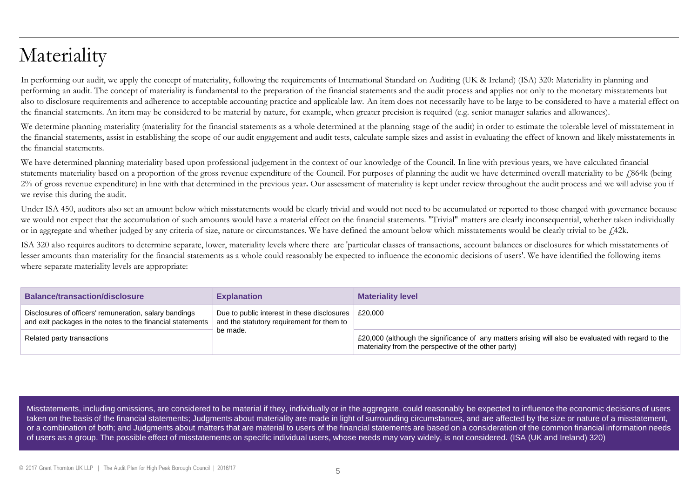### Materiality

In performing our audit, we apply the concept of materiality, following the requirements of International Standard on Auditing (UK & Ireland) (ISA) 320: Materiality in planning and performing an audit. The concept of materiality is fundamental to the preparation of the financial statements and the audit process and applies not only to the monetary misstatements but also to disclosure requirements and adherence to acceptable accounting practice and applicable law. An item does not necessarily have to be large to be considered to have a material effect on the financial statements. An item may be considered to be material by nature, for example, when greater precision is required (e.g. senior manager salaries and allowances).

We determine planning materiality (materiality for the financial statements as a whole determined at the planning stage of the audit) in order to estimate the tolerable level of misstatement in the financial statements, assist in establishing the scope of our audit engagement and audit tests, calculate sample sizes and assist in evaluating the effect of known and likely misstatements in the financial statements.

We have determined planning materiality based upon professional judgement in the context of our knowledge of the Council. In line with previous years, we have calculated financial statements materiality based on a proportion of the gross revenue expenditure of the Council. For purposes of planning the audit we have determined overall materiality to be £864k (being 2% of gross revenue expenditure) in line with that determined in the previous year**.** Our assessment of materiality is kept under review throughout the audit process and we will advise you if we revise this during the audit.

Under ISA 450, auditors also set an amount below which misstatements would be clearly trivial and would not need to be accumulated or reported to those charged with governance because we would not expect that the accumulation of such amounts would have a material effect on the financial statements. "Trivial" matters are clearly inconsequential, whether taken individually or in aggregate and whether judged by any criteria of size, nature or circumstances. We have defined the amount below which misstatements would be clearly trivial to be  $\angle$ 42k.

ISA 320 also requires auditors to determine separate, lower, materiality levels where there are 'particular classes of transactions, account balances or disclosures for which misstatements of lesser amounts than materiality for the financial statements as a whole could reasonably be expected to influence the economic decisions of users'. We have identified the following items where separate materiality levels are appropriate:

| <b>Balance/transaction/disclosure</b>                                                                                | <b>Explanation</b>                                                                                                   | <b>Materiality level</b>                                                                                                                                    |
|----------------------------------------------------------------------------------------------------------------------|----------------------------------------------------------------------------------------------------------------------|-------------------------------------------------------------------------------------------------------------------------------------------------------------|
| Disclosures of officers' remuneration, salary bandings<br>and exit packages in the notes to the financial statements | Due to public interest in these disclosures $\vert$ £20,000<br>and the statutory requirement for them to<br>be made. |                                                                                                                                                             |
| Related party transactions                                                                                           |                                                                                                                      | £20,000 (although the significance of any matters arising will also be evaluated with regard to the<br>materiality from the perspective of the other party) |

Misstatements, including omissions, are considered to be material if they, individually or in the aggregate, could reasonably be expected to influence the economic decisions of users taken on the basis of the financial statements; Judgments about materiality are made in light of surrounding circumstances, and are affected by the size or nature of a misstatement, or a combination of both; and Judgments about matters that are material to users of the financial statements are based on a consideration of the common financial information needs of users as a group. The possible effect of misstatements on specific individual users, whose needs may vary widely, is not considered. (ISA (UK and Ireland) 320)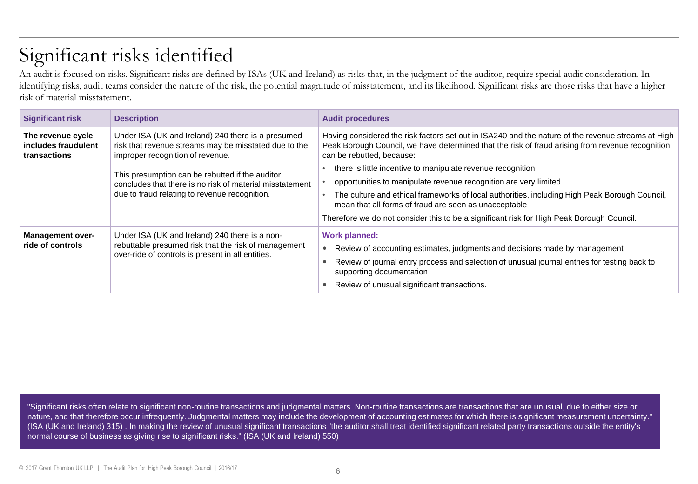## Significant risks identified

An audit is focused on risks. Significant risks are defined by ISAs (UK and Ireland) as risks that, in the judgment of the auditor, require special audit consideration. In identifying risks, audit teams consider the nature of the risk, the potential magnitude of misstatement, and its likelihood. Significant risks are those risks that have a higher risk of material misstatement.

| <b>Significant risk</b>                                                                                                                                      | <b>Description</b>                                                                                                                                     | <b>Audit procedures</b>                                                                                                                                                                                                             |  |
|--------------------------------------------------------------------------------------------------------------------------------------------------------------|--------------------------------------------------------------------------------------------------------------------------------------------------------|-------------------------------------------------------------------------------------------------------------------------------------------------------------------------------------------------------------------------------------|--|
| The revenue cycle<br>includes fraudulent<br>transactions                                                                                                     | Under ISA (UK and Ireland) 240 there is a presumed<br>risk that revenue streams may be misstated due to the<br>improper recognition of revenue.        | Having considered the risk factors set out in ISA240 and the nature of the revenue streams at High<br>Peak Borough Council, we have determined that the risk of fraud arising from revenue recognition<br>can be rebutted, because: |  |
| This presumption can be rebutted if the auditor<br>concludes that there is no risk of material misstatement<br>due to fraud relating to revenue recognition. | there is little incentive to manipulate revenue recognition                                                                                            |                                                                                                                                                                                                                                     |  |
|                                                                                                                                                              | opportunities to manipulate revenue recognition are very limited                                                                                       |                                                                                                                                                                                                                                     |  |
|                                                                                                                                                              | The culture and ethical frameworks of local authorities, including High Peak Borough Council,<br>mean that all forms of fraud are seen as unacceptable |                                                                                                                                                                                                                                     |  |
|                                                                                                                                                              |                                                                                                                                                        | Therefore we do not consider this to be a significant risk for High Peak Borough Council.                                                                                                                                           |  |
| Under ISA (UK and Ireland) 240 there is a non-<br><b>Management over-</b><br>rebuttable presumed risk that the risk of management<br>ride of controls        |                                                                                                                                                        | <b>Work planned:</b><br>Review of accounting estimates, judgments and decisions made by management                                                                                                                                  |  |
| over-ride of controls is present in all entities.                                                                                                            | Review of journal entry process and selection of unusual journal entries for testing back to                                                           |                                                                                                                                                                                                                                     |  |
|                                                                                                                                                              |                                                                                                                                                        | supporting documentation                                                                                                                                                                                                            |  |
|                                                                                                                                                              |                                                                                                                                                        | Review of unusual significant transactions.                                                                                                                                                                                         |  |

"Significant risks often relate to significant non-routine transactions and judgmental matters. Non-routine transactions are transactions that are unusual, due to either size or nature, and that therefore occur infrequently. Judgmental matters may include the development of accounting estimates for which there is significant measurement uncertainty." (ISA (UK and Ireland) 315) . In making the review of unusual significant transactions "the auditor shall treat identified significant related party transactions outside the entity's normal course of business as giving rise to significant risks." (ISA (UK and Ireland) 550)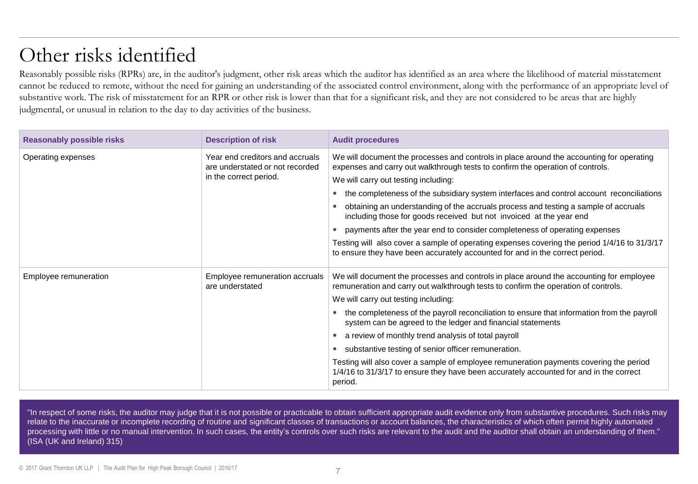### Other risks identified

Reasonably possible risks (RPRs) are, in the auditor's judgment, other risk areas which the auditor has identified as an area where the likelihood of material misstatement cannot be reduced to remote, without the need for gaining an understanding of the associated control environment, along with the performance of an appropriate level of substantive work. The risk of misstatement for an RPR or other risk is lower than that for a significant risk, and they are not considered to be areas that are highly judgmental, or unusual in relation to the day to day activities of the business.

| <b>Reasonably possible risks</b> | <b>Description of risk</b>                                                                   | <b>Audit procedures</b>                                                                                                                                                                     |  |
|----------------------------------|----------------------------------------------------------------------------------------------|---------------------------------------------------------------------------------------------------------------------------------------------------------------------------------------------|--|
| Operating expenses               | Year end creditors and accruals<br>are understated or not recorded<br>in the correct period. | We will document the processes and controls in place around the accounting for operating<br>expenses and carry out walkthrough tests to confirm the operation of controls.                  |  |
|                                  |                                                                                              | We will carry out testing including:                                                                                                                                                        |  |
|                                  |                                                                                              | the completeness of the subsidiary system interfaces and control account reconciliations                                                                                                    |  |
|                                  |                                                                                              | obtaining an understanding of the accruals process and testing a sample of accruals<br>including those for goods received but not invoiced at the year end                                  |  |
|                                  |                                                                                              | payments after the year end to consider completeness of operating expenses                                                                                                                  |  |
|                                  |                                                                                              | Testing will also cover a sample of operating expenses covering the period 1/4/16 to 31/3/17<br>to ensure they have been accurately accounted for and in the correct period.                |  |
| Employee remuneration            | Employee remuneration accruals<br>are understated                                            | We will document the processes and controls in place around the accounting for employee<br>remuneration and carry out walkthrough tests to confirm the operation of controls.               |  |
|                                  |                                                                                              | We will carry out testing including:                                                                                                                                                        |  |
|                                  |                                                                                              | the completeness of the payroll reconciliation to ensure that information from the payroll<br>system can be agreed to the ledger and financial statements                                   |  |
|                                  |                                                                                              | a review of monthly trend analysis of total payroll                                                                                                                                         |  |
|                                  |                                                                                              | substantive testing of senior officer remuneration.                                                                                                                                         |  |
|                                  |                                                                                              | Testing will also cover a sample of employee remuneration payments covering the period<br>1/4/16 to 31/3/17 to ensure they have been accurately accounted for and in the correct<br>period. |  |

"In respect of some risks, the auditor may judge that it is not possible or practicable to obtain sufficient appropriate audit evidence only from substantive procedures. Such risks may relate to the inaccurate or incomplete recording of routine and significant classes of transactions or account balances, the characteristics of which often permit highly automated processing with little or no manual intervention. In such cases, the entity's controls over such risks are relevant to the audit and the auditor shall obtain an understanding of them." (ISA (UK and Ireland) 315)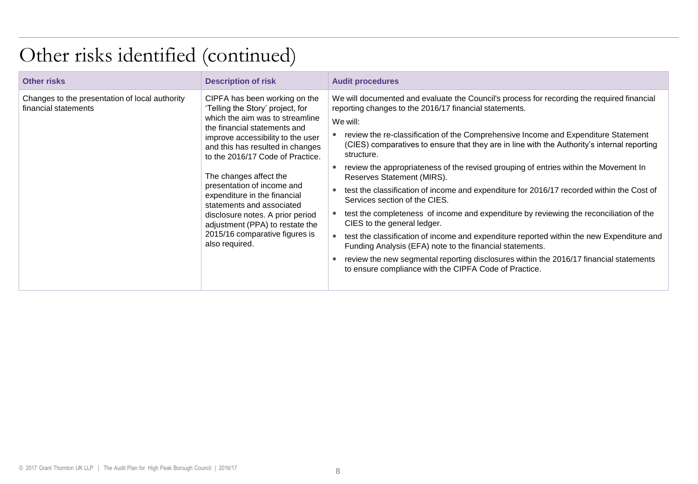### Other risks identified (continued)

| <b>Other risks</b>                                                     | <b>Description of risk</b>                                                                                                                                                                                                                                                                                                                                                                                                                                                                        | <b>Audit procedures</b>                                                                                                                                                                                                                                                                                                                                                                                                                                                                                                                                                                                                                                                                                                                                                                                                                                                                                                                                                                                                                                      |
|------------------------------------------------------------------------|---------------------------------------------------------------------------------------------------------------------------------------------------------------------------------------------------------------------------------------------------------------------------------------------------------------------------------------------------------------------------------------------------------------------------------------------------------------------------------------------------|--------------------------------------------------------------------------------------------------------------------------------------------------------------------------------------------------------------------------------------------------------------------------------------------------------------------------------------------------------------------------------------------------------------------------------------------------------------------------------------------------------------------------------------------------------------------------------------------------------------------------------------------------------------------------------------------------------------------------------------------------------------------------------------------------------------------------------------------------------------------------------------------------------------------------------------------------------------------------------------------------------------------------------------------------------------|
| Changes to the presentation of local authority<br>financial statements | CIPFA has been working on the<br>'Telling the Story' project, for<br>which the aim was to streamline<br>the financial statements and<br>improve accessibility to the user<br>and this has resulted in changes<br>to the 2016/17 Code of Practice.<br>The changes affect the<br>presentation of income and<br>expenditure in the financial<br>statements and associated<br>disclosure notes. A prior period<br>adjustment (PPA) to restate the<br>2015/16 comparative figures is<br>also required. | We will documented and evaluate the Council's process for recording the required financial<br>reporting changes to the 2016/17 financial statements.<br>We will:<br>review the re-classification of the Comprehensive Income and Expenditure Statement<br>(CIES) comparatives to ensure that they are in line with the Authority's internal reporting<br>structure.<br>review the appropriateness of the revised grouping of entries within the Movement In<br>Reserves Statement (MIRS).<br>test the classification of income and expenditure for 2016/17 recorded within the Cost of<br>Services section of the CIES.<br>test the completeness of income and expenditure by reviewing the reconciliation of the<br>CIES to the general ledger.<br>test the classification of income and expenditure reported within the new Expenditure and<br>Funding Analysis (EFA) note to the financial statements.<br>review the new segmental reporting disclosures within the 2016/17 financial statements<br>to ensure compliance with the CIPFA Code of Practice. |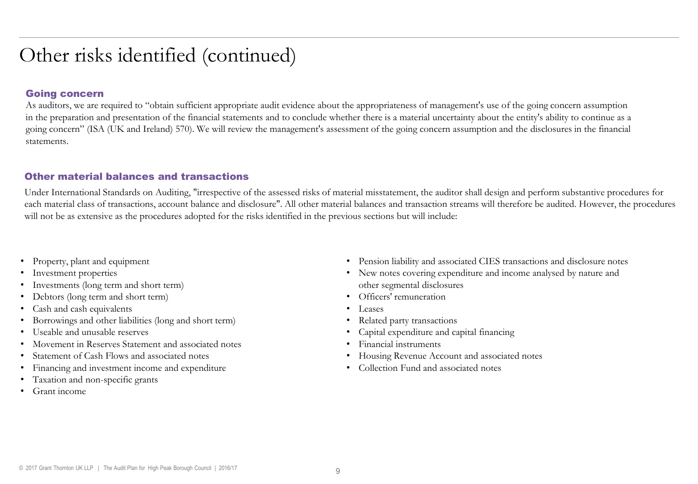### Other risks identified (continued)

#### Going concern

As auditors, we are required to "obtain sufficient appropriate audit evidence about the appropriateness of management's use of the going concern assumption in the preparation and presentation of the financial statements and to conclude whether there is a material uncertainty about the entity's ability to continue as a going concern" (ISA (UK and Ireland) 570). We will review the management's assessment of the going concern assumption and the disclosures in the financial statements.

#### Other material balances and transactions

Under International Standards on Auditing, "irrespective of the assessed risks of material misstatement, the auditor shall design and perform substantive procedures for each material class of transactions, account balance and disclosure". All other material balances and transaction streams will therefore be audited. However, the procedures will not be as extensive as the procedures adopted for the risks identified in the previous sections but will include:

- Property, plant and equipment
- Investment properties
- Investments (long term and short term)
- Debtors (long term and short term)
- Cash and cash equivalents
- Borrowings and other liabilities (long and short term)
- Useable and unusable reserves
- Movement in Reserves Statement and associated notes
- Statement of Cash Flows and associated notes
- Financing and investment income and expenditure
- Taxation and non-specific grants
- Grant income
- Pension liability and associated CIES transactions and disclosure notes
- New notes covering expenditure and income analysed by nature and other segmental disclosures
- Officers' remuneration
- Leases
- Related party transactions
- Capital expenditure and capital financing
- Financial instruments
- Housing Revenue Account and associated notes
- Collection Fund and associated notes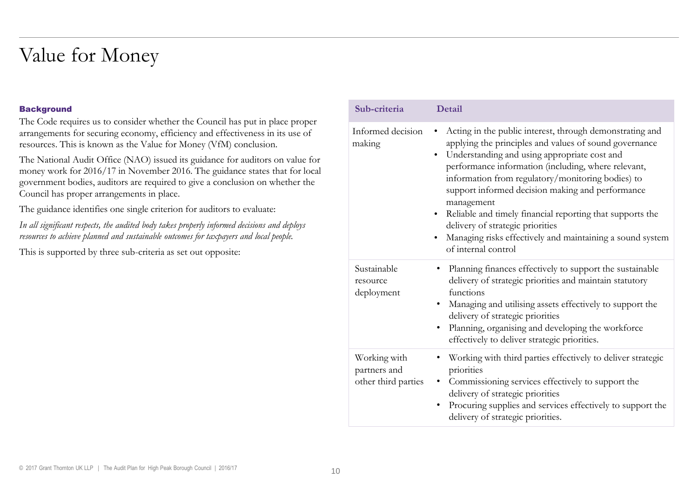### Value for Money

#### **Background**

The Code requires us to consider whether the Council has put in place proper arrangements for securing economy, efficiency and effectiveness in its use of resources. This is known as the Value for Money (VfM) conclusion.

The National Audit Office (NAO) issued its guidance for auditors on value for money work for 2016/17 in November 2016. The guidance states that for local government bodies, auditors are required to give a conclusion on whether the Council has proper arrangements in place.

The guidance identifies one single criterion for auditors to evaluate:

*In all significant respects, the audited body takes properly informed decisions and deploys resources to achieve planned and sustainable outcomes for taxpayers and local people.* 

This is supported by three sub-criteria as set out opposite:

| Sub-criteria                                        | Detail                                                                                                                                                                                                                                                                                                                                                                                                                                                                                                                                                                       |
|-----------------------------------------------------|------------------------------------------------------------------------------------------------------------------------------------------------------------------------------------------------------------------------------------------------------------------------------------------------------------------------------------------------------------------------------------------------------------------------------------------------------------------------------------------------------------------------------------------------------------------------------|
| Informed decision<br>making                         | Acting in the public interest, through demonstrating and<br>$\bullet$<br>applying the principles and values of sound governance<br>Understanding and using appropriate cost and<br>$\bullet$<br>performance information (including, where relevant,<br>information from regulatory/monitoring bodies) to<br>support informed decision making and performance<br>management<br>Reliable and timely financial reporting that supports the<br>$\bullet$<br>delivery of strategic priorities<br>Managing risks effectively and maintaining a sound system<br>of internal control |
| Sustainable<br>resource<br>deployment               | • Planning finances effectively to support the sustainable<br>delivery of strategic priorities and maintain statutory<br>functions<br>• Managing and utilising assets effectively to support the<br>delivery of strategic priorities<br>Planning, organising and developing the workforce<br>effectively to deliver strategic priorities.                                                                                                                                                                                                                                    |
| Working with<br>partners and<br>other third parties | Working with third parties effectively to deliver strategic<br>priorities<br>Commissioning services effectively to support the<br>٠<br>delivery of strategic priorities<br>Procuring supplies and services effectively to support the<br>delivery of strategic priorities.                                                                                                                                                                                                                                                                                                   |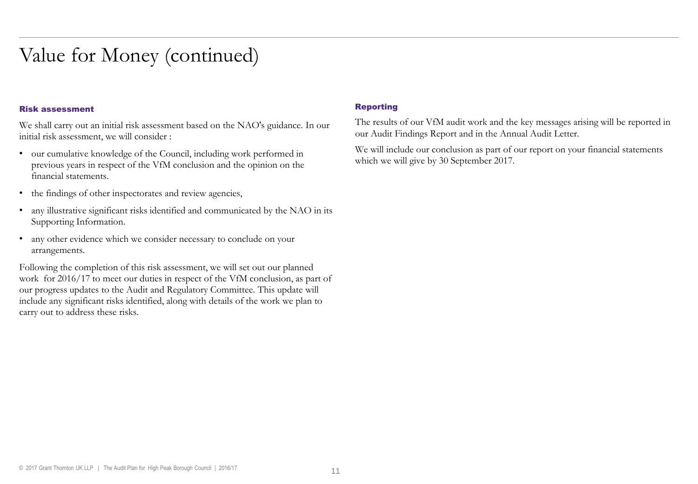### Value for Money (continued)

#### Risk assessment

We shall carry out an initial risk assessment based on the NAO's guidance. In our initial risk assessment, we will consider :

- our cumulative knowledge of the Council, including work performed in previous years in respect of the VfM conclusion and the opinion on the financial statements.
- the findings of other inspectorates and review agencies,
- any illustrative significant risks identified and communicated by the NAO in its Supporting Information.
- any other evidence which we consider necessary to conclude on your arrangements.

Following the completion of this risk assessment, we will set out our planned work for 2016/17 to meet our duties in respect of the VfM conclusion, as part of our progress updates to the Audit and Regulatory Committee. This update will include any significant risks identified, along with details of the work we plan to carry out to address these risks.

#### Reporting

The results of our VfM audit work and the key messages arising will be reported in our Audit Findings Report and in the Annual Audit Letter.

We will include our conclusion as part of our report on your financial statements which we will give by 30 September 2017.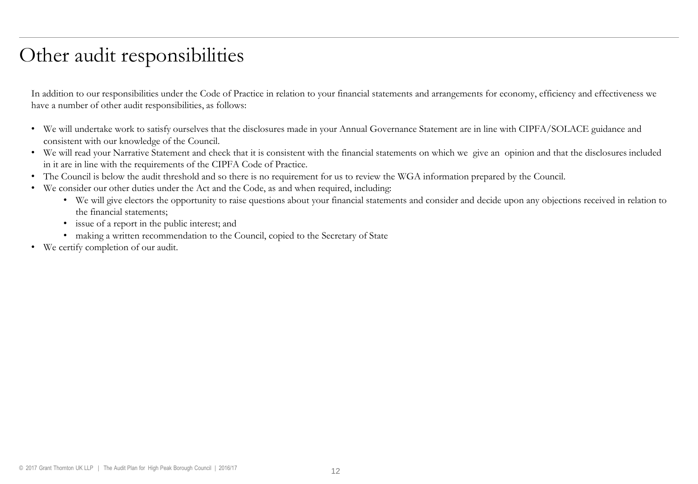### Other audit responsibilities

In addition to our responsibilities under the Code of Practice in relation to your financial statements and arrangements for economy, efficiency and effectiveness we have a number of other audit responsibilities, as follows:

- We will undertake work to satisfy ourselves that the disclosures made in your Annual Governance Statement are in line with CIPFA/SOLACE guidance and consistent with our knowledge of the Council.
- We will read your Narrative Statement and check that it is consistent with the financial statements on which we give an opinion and that the disclosures included in it are in line with the requirements of the CIPFA Code of Practice.
- The Council is below the audit threshold and so there is no requirement for us to review the WGA information prepared by the Council.
- We consider our other duties under the Act and the Code, as and when required, including:
	- We will give electors the opportunity to raise questions about your financial statements and consider and decide upon any objections received in relation to the financial statements;
	- issue of a report in the public interest; and
	- making a written recommendation to the Council, copied to the Secretary of State
- We certify completion of our audit.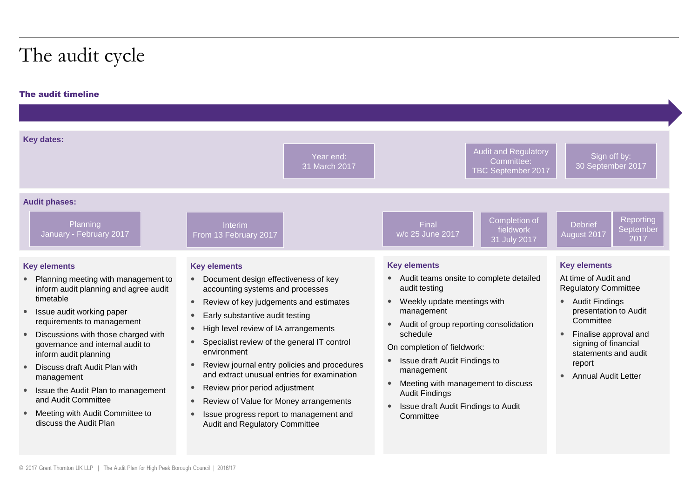## The audit cycle

#### The audit timeline

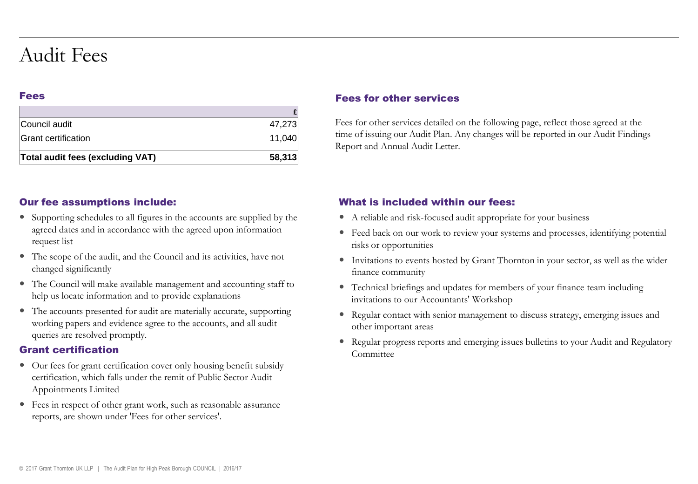### Audit Fees

#### Fees

| Total audit fees (excluding VAT) | 58,313 |
|----------------------------------|--------|
| Grant certification              | 11.040 |
| Council audit                    | 47.273 |
|                                  |        |

#### Our fee assumptions include:

- Supporting schedules to all figures in the accounts are supplied by the agreed dates and in accordance with the agreed upon information request list
- The scope of the audit, and the Council and its activities, have not changed significantly
- The Council will make available management and accounting staff to help us locate information and to provide explanations
- The accounts presented for audit are materially accurate, supporting working papers and evidence agree to the accounts, and all audit queries are resolved promptly.

#### Grant certification

- Our fees for grant certification cover only housing benefit subsidy certification, which falls under the remit of Public Sector Audit Appointments Limited
- Fees in respect of other grant work, such as reasonable assurance reports, are shown under 'Fees for other services'.

#### Fees for other services

Fees for other services detailed on the following page, reflect those agreed at the time of issuing our Audit Plan. Any changes will be reported in our Audit Findings Report and Annual Audit Letter.

#### What is included within our fees:

- A reliable and risk-focused audit appropriate for your business
- Feed back on our work to review your systems and processes, identifying potential risks or opportunities
- Invitations to events hosted by Grant Thornton in your sector, as well as the wider finance community
- Technical briefings and updates for members of your finance team including invitations to our Accountants' Workshop
- Regular contact with senior management to discuss strategy, emerging issues and other important areas
- Regular progress reports and emerging issues bulletins to your Audit and Regulatory Committee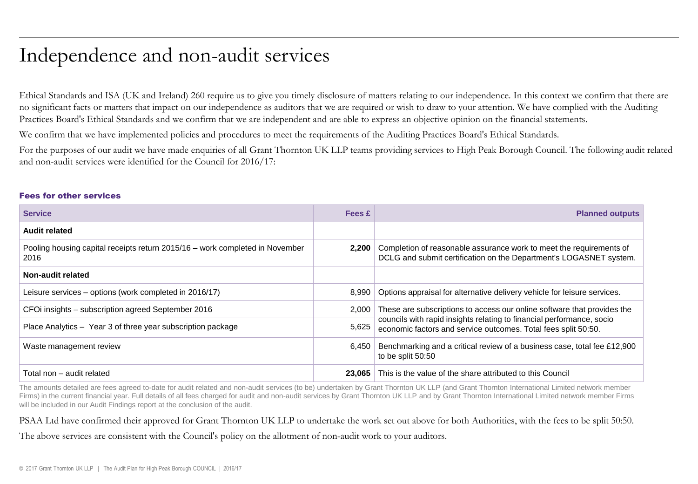### Independence and non-audit services

Ethical Standards and ISA (UK and Ireland) 260 require us to give you timely disclosure of matters relating to our independence. In this context we confirm that there are no significant facts or matters that impact on our independence as auditors that we are required or wish to draw to your attention. We have complied with the Auditing Practices Board's Ethical Standards and we confirm that we are independent and are able to express an objective opinion on the financial statements.

We confirm that we have implemented policies and procedures to meet the requirements of the Auditing Practices Board's Ethical Standards.

For the purposes of our audit we have made enquiries of all Grant Thornton UK LLP teams providing services to High Peak Borough Council. The following audit related and non-audit services were identified for the Council for 2016/17:

#### Fees for other services

| <b>Service</b>                                                                       | Fees £ | <b>Planned outputs</b>                                                                                                                    |
|--------------------------------------------------------------------------------------|--------|-------------------------------------------------------------------------------------------------------------------------------------------|
| <b>Audit related</b>                                                                 |        |                                                                                                                                           |
| Pooling housing capital receipts return 2015/16 – work completed in November<br>2016 | 2.200  | Completion of reasonable assurance work to meet the requirements of<br>DCLG and submit certification on the Department's LOGASNET system. |
| Non-audit related                                                                    |        |                                                                                                                                           |
| Leisure services – options (work completed in 2016/17)                               | 8.990  | Options appraisal for alternative delivery vehicle for leisure services.                                                                  |
| CFOI insights – subscription agreed September 2016                                   | 2,000  | These are subscriptions to access our online software that provides the                                                                   |
| Place Analytics - Year 3 of three year subscription package                          | 5,625  | councils with rapid insights relating to financial performance, socio<br>economic factors and service outcomes. Total fees split 50:50.   |
| Waste management review                                                              | 6.450  | Benchmarking and a critical review of a business case, total fee £12,900<br>to be split 50:50                                             |
| Total non - audit related                                                            | 23.065 | This is the value of the share attributed to this Council                                                                                 |

The amounts detailed are fees agreed to-date for audit related and non-audit services (to be) undertaken by Grant Thornton UK LLP (and Grant Thornton International Limited network member Firms) in the current financial year. Full details of all fees charged for audit and non-audit services by Grant Thornton UK LLP and by Grant Thornton International Limited network member Firms will be included in our Audit Findings report at the conclusion of the audit.

#### PSAA Ltd have confirmed their approved for Grant Thornton UK LLP to undertake the work set out above for both Authorities, with the fees to be split 50:50.

The above services are consistent with the Council's policy on the allotment of non-audit work to your auditors.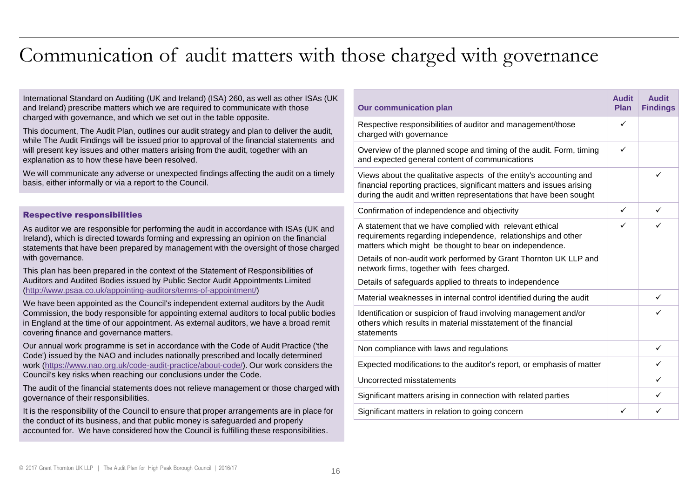### Communication of audit matters with those charged with governance

**Audit** 

 $\checkmark$ 

 $\checkmark$ 

 $\checkmark$ 

**Our communication plan Audit Plan Findings** Respective responsibilities of auditor and management/those charged with governance ✓ Overview of the planned scope and timing of the audit. Form, timing and expected general content of communications  $\checkmark$ Views about the qualitative aspects of the entity's accounting and financial reporting practices, significant matters and issues arising during the audit and written representations that have been sought Confirmation of independence and objectivity  $\begin{array}{c|c}\n\hline\n\end{array}$ A statement that we have complied with relevant ethical requirements regarding independence, relationships and other matters which might be thought to bear on independence. Details of non-audit work performed by Grant Thornton UK LLP and network firms, together with fees charged. Details of safeguards applied to threats to independence Material weaknesses in internal control identified during the audit Identification or suspicion of fraud involving management and/or others which results in material misstatement of the financial statements Non compliance with laws and regulations  $\checkmark$ Expected modifications to the auditor's report, or emphasis of matter  $\vert$   $\vert$ Uncorrected misstatements  $\checkmark$ Significant matters arising in connection with related parties **Significant**  $\checkmark$ Significant matters in relation to going concern  $\checkmark$ International Standard on Auditing (UK and Ireland) (ISA) 260, as well as other ISAs (UK and Ireland) prescribe matters which we are required to communicate with those charged with governance, and which we set out in the table opposite. This document, The Audit Plan, outlines our audit strategy and plan to deliver the audit, while The Audit Findings will be issued prior to approval of the financial statements and will present key issues and other matters arising from the audit, together with an explanation as to how these have been resolved. We will communicate any adverse or unexpected findings affecting the audit on a timely basis, either informally or via a report to the Council. Respective responsibilities As auditor we are responsible for performing the audit in accordance with ISAs (UK and Ireland), which is directed towards forming and expressing an opinion on the financial statements that have been prepared by management with the oversight of those charged with governance. This plan has been prepared in the context of the Statement of Responsibilities of Auditors and Audited Bodies issued by Public Sector Audit Appointments Limited ([http://www.psaa.co.uk/appointing-auditors/terms-of-appointment/\)](http://www.psaa.co.uk/appointing-auditors/terms-of-appointment/) We have been appointed as the Council's independent external auditors by the Audit Commission, the body responsible for appointing external auditors to local public bodies in England at the time of our appointment. As external auditors, we have a broad remit covering finance and governance matters. Our annual work programme is set in accordance with the Code of Audit Practice ('the Code') issued by the NAO and includes nationally prescribed and locally determined work [\(https://www.nao.org.uk/code-audit-practice/about-code/](https://www.nao.org.uk/code-audit-practice/about-code/)). Our work considers the Council's key risks when reaching our conclusions under the Code. The audit of the financial statements does not relieve management or those charged with governance of their responsibilities. It is the responsibility of the Council to ensure that proper arrangements are in place for the conduct of its business, and that public money is safeguarded and properly

accounted for. We have considered how the Council is fulfilling these responsibilities.